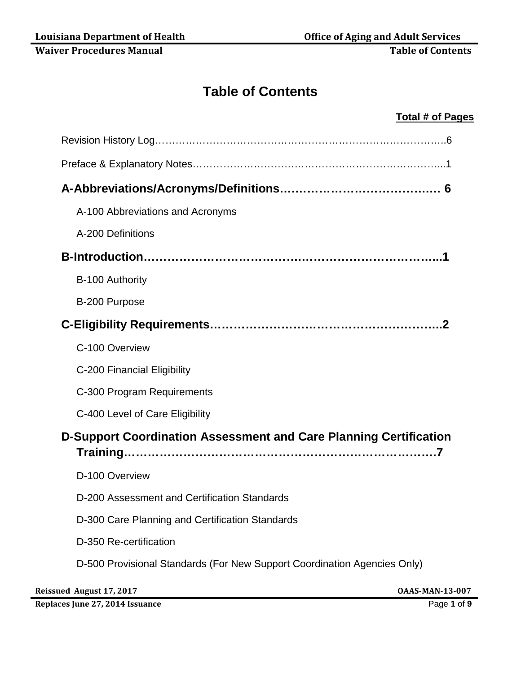# **Table of Contents**

### **Total # of Pages**

| A-100 Abbreviations and Acronyms                                         |
|--------------------------------------------------------------------------|
| A-200 Definitions                                                        |
|                                                                          |
| B-100 Authority                                                          |
| B-200 Purpose                                                            |
|                                                                          |
| C-100 Overview                                                           |
| C-200 Financial Eligibility                                              |
| C-300 Program Requirements                                               |
| C-400 Level of Care Eligibility                                          |
| <b>D-Support Coordination Assessment and Care Planning Certification</b> |
| D-100 Overview                                                           |
| D-200 Assessment and Certification Standards                             |
| D-300 Care Planning and Certification Standards                          |
| D-350 Re-certification                                                   |
| D-500 Provisional Standards (For New Support Coordination Agencies Only) |

**Reissued August 17, 2017 OAAS-MAN-13-007** 

**Replaces June 27, 2014 Issuance** Page **1** of **9**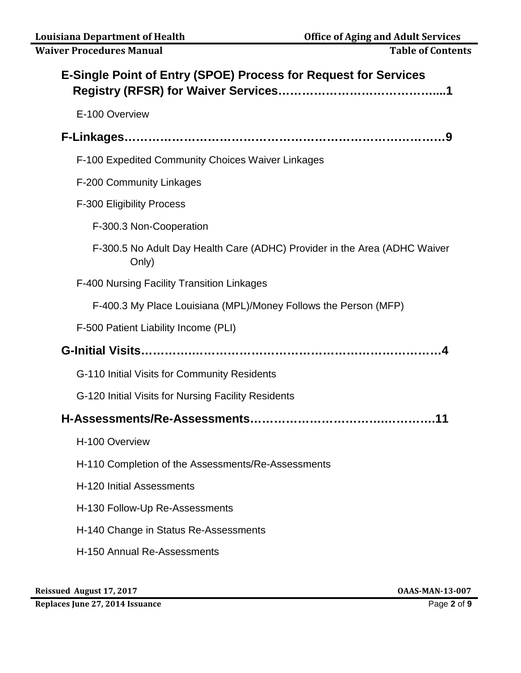| <b>E-Single Point of Entry (SPOE) Process for Request for Services</b>             |
|------------------------------------------------------------------------------------|
| E-100 Overview                                                                     |
|                                                                                    |
| F-100 Expedited Community Choices Waiver Linkages                                  |
| F-200 Community Linkages                                                           |
| <b>F-300 Eligibility Process</b>                                                   |
| F-300.3 Non-Cooperation                                                            |
| F-300.5 No Adult Day Health Care (ADHC) Provider in the Area (ADHC Waiver<br>Only) |
| <b>F-400 Nursing Facility Transition Linkages</b>                                  |
| F-400.3 My Place Louisiana (MPL)/Money Follows the Person (MFP)                    |
| F-500 Patient Liability Income (PLI)                                               |
|                                                                                    |
| G-110 Initial Visits for Community Residents                                       |
| G-120 Initial Visits for Nursing Facility Residents                                |
|                                                                                    |
| H-100 Overview                                                                     |
| H-110 Completion of the Assessments/Re-Assessments                                 |
| H-120 Initial Assessments                                                          |
| H-130 Follow-Up Re-Assessments                                                     |
| H-140 Change in Status Re-Assessments                                              |
| H-150 Annual Re-Assessments                                                        |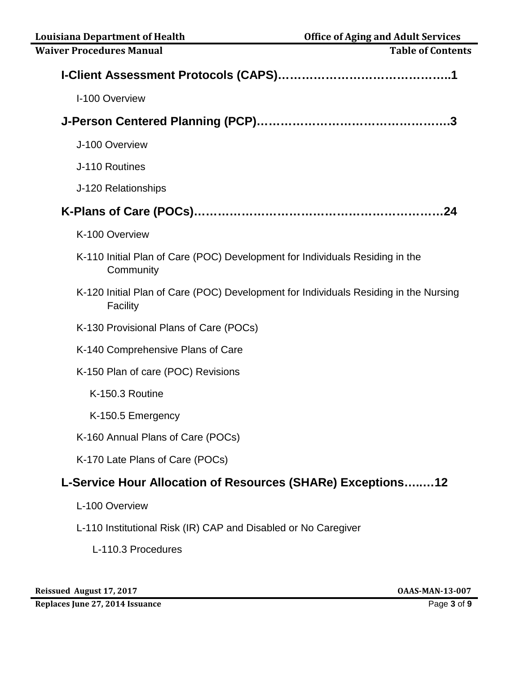| <b>Waiver Procedures Manual</b>                                                                  | <b>Table of Contents</b> |
|--------------------------------------------------------------------------------------------------|--------------------------|
|                                                                                                  |                          |
| I-100 Overview                                                                                   |                          |
|                                                                                                  |                          |
| J-100 Overview                                                                                   |                          |
| J-110 Routines                                                                                   |                          |
| J-120 Relationships                                                                              |                          |
|                                                                                                  |                          |
| K-100 Overview                                                                                   |                          |
| K-110 Initial Plan of Care (POC) Development for Individuals Residing in the<br>Community        |                          |
| K-120 Initial Plan of Care (POC) Development for Individuals Residing in the Nursing<br>Facility |                          |
| K-130 Provisional Plans of Care (POCs)                                                           |                          |
| K-140 Comprehensive Plans of Care                                                                |                          |
| K-150 Plan of care (POC) Revisions                                                               |                          |
| K-150.3 Routine                                                                                  |                          |
| K-150.5 Emergency                                                                                |                          |
| K-160 Annual Plans of Care (POCs)                                                                |                          |
| K-170 Late Plans of Care (POCs)                                                                  |                          |
| L-Service Hour Allocation of Resources (SHARe) Exceptions12                                      |                          |
| L-100 Overview                                                                                   |                          |
| L-110 Institutional Risk (IR) CAP and Disabled or No Caregiver                                   |                          |
| L-110.3 Procedures                                                                               |                          |
|                                                                                                  |                          |

**Replaces June 27, 2014 Issuance** Page **3** of **9**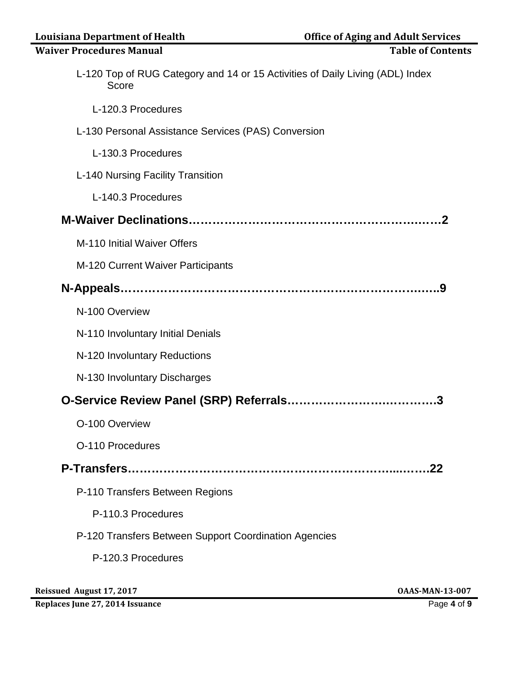| <b>Louisiana Department of Health</b>                                                  | <b>Office of Aging and Adult Services</b> |
|----------------------------------------------------------------------------------------|-------------------------------------------|
| <b>Waiver Procedures Manual</b>                                                        | <b>Table of Contents</b>                  |
| L-120 Top of RUG Category and 14 or 15 Activities of Daily Living (ADL) Index<br>Score |                                           |
| L-120.3 Procedures                                                                     |                                           |
| L-130 Personal Assistance Services (PAS) Conversion                                    |                                           |
| L-130.3 Procedures                                                                     |                                           |
| L-140 Nursing Facility Transition                                                      |                                           |
| L-140.3 Procedures                                                                     |                                           |
|                                                                                        |                                           |
| M-110 Initial Waiver Offers                                                            |                                           |
| M-120 Current Waiver Participants                                                      |                                           |
|                                                                                        |                                           |
| N-100 Overview                                                                         |                                           |
| N-110 Involuntary Initial Denials                                                      |                                           |
| N-120 Involuntary Reductions                                                           |                                           |
| N-130 Involuntary Discharges                                                           |                                           |
|                                                                                        |                                           |
| O-100 Overview                                                                         |                                           |
| O-110 Procedures                                                                       |                                           |
|                                                                                        | .22                                       |
| P-110 Transfers Between Regions                                                        |                                           |
| P-110.3 Procedures                                                                     |                                           |
| P-120 Transfers Between Support Coordination Agencies                                  |                                           |
| P-120.3 Procedures                                                                     |                                           |
|                                                                                        |                                           |

**Reissued August 17, 2017 OAAS-MAN-13-007** 

**Replaces June 27, 2014 Issuance** Page **4** of **9**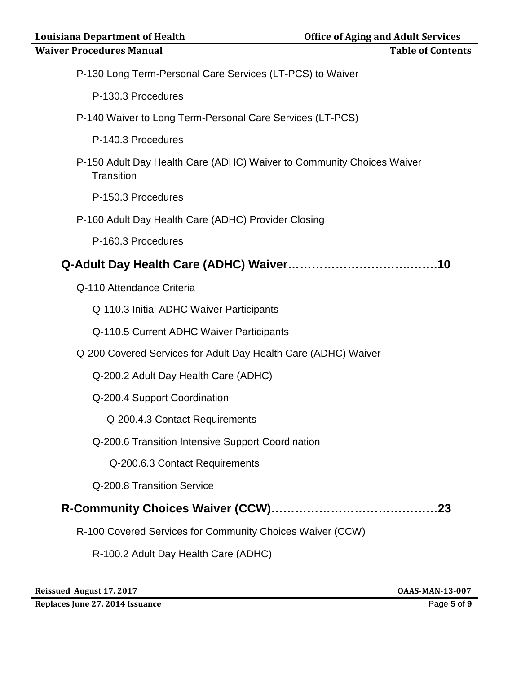| <b>Louisiana Department of Health</b>                                               | <b>Office of Aging and Adult Services</b> |
|-------------------------------------------------------------------------------------|-------------------------------------------|
| <b>Waiver Procedures Manual</b>                                                     | <b>Table of Contents</b>                  |
| P-130 Long Term-Personal Care Services (LT-PCS) to Waiver                           |                                           |
| P-130.3 Procedures                                                                  |                                           |
| P-140 Waiver to Long Term-Personal Care Services (LT-PCS)                           |                                           |
| P-140.3 Procedures                                                                  |                                           |
| P-150 Adult Day Health Care (ADHC) Waiver to Community Choices Waiver<br>Transition |                                           |
| P-150.3 Procedures                                                                  |                                           |
| P-160 Adult Day Health Care (ADHC) Provider Closing                                 |                                           |
| P-160.3 Procedures                                                                  |                                           |
|                                                                                     |                                           |
| Q-110 Attendance Criteria                                                           |                                           |
| Q-110.3 Initial ADHC Waiver Participants                                            |                                           |
| Q-110.5 Current ADHC Waiver Participants                                            |                                           |
| Q-200 Covered Services for Adult Day Health Care (ADHC) Waiver                      |                                           |
| Q-200.2 Adult Day Health Care (ADHC)                                                |                                           |
| Q-200.4 Support Coordination                                                        |                                           |
| Q-200.4.3 Contact Requirements                                                      |                                           |
| Q-200.6 Transition Intensive Support Coordination                                   |                                           |
| Q-200.6.3 Contact Requirements                                                      |                                           |
| Q-200.8 Transition Service                                                          |                                           |
|                                                                                     |                                           |
| R-100 Covered Services for Community Choices Waiver (CCW)                           |                                           |
| R-100.2 Adult Day Health Care (ADHC)                                                |                                           |

**Reissued August 17, 2017 OAAS-MAN-13-007** 

**Replaces June 27, 2014 Issuance** Page **5** of **9**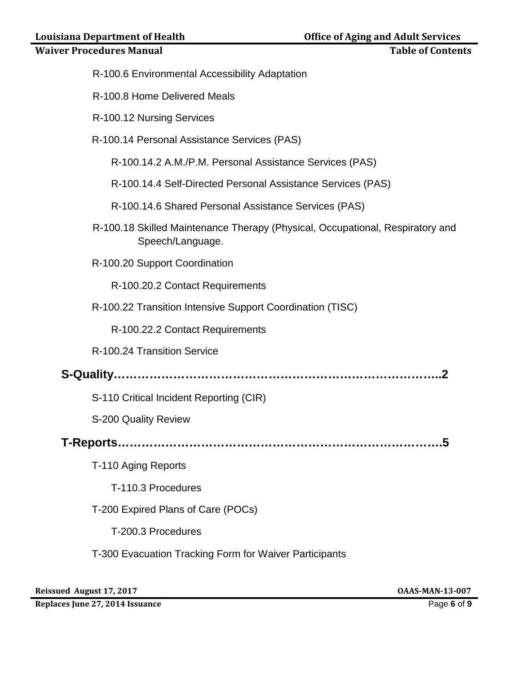## **Waiver Procedures Manual**

| <b>Table of Contents</b> |
|--------------------------|
|--------------------------|

- R-100.6 Environmental Accessibility Adaptation
- R-100.8 Home Delivered Meals
- R-100.12 Nursing Services
- R-100.14 Personal Assistance Services (PAS)
	- R-100.14.2 A.M./P.M. Personal Assistance Services (PAS)
	- R-100.14.4 Self-Directed Personal Assistance Services (PAS)
	- R-100.14.6 Shared Personal Assistance Services (PAS)
- R-100.18 Skilled Maintenance Therapy (Physical, Occupational, Respiratory and Speech/Language.
- R-100.20 Support Coordination
	- R-100.20.2 Contact Requirements
- R-100.22 Transition Intensive Support Coordination (TISC)
	- R-100.22.2 Contact Requirements
- R-100.24 Transition Service
- **S-Quality………………………………………………………………………..2**
	- S-110 Critical Incident Reporting (CIR)
	- S-200 Quality Review
- **T-Reports……………………………………………………………………….5**
	- T-110 Aging Reports
		- T-110.3 Procedures
	- T-200 Expired Plans of Care (POCs)
		- T-200.3 Procedures
	- T-300 Evacuation Tracking Form for Waiver Participants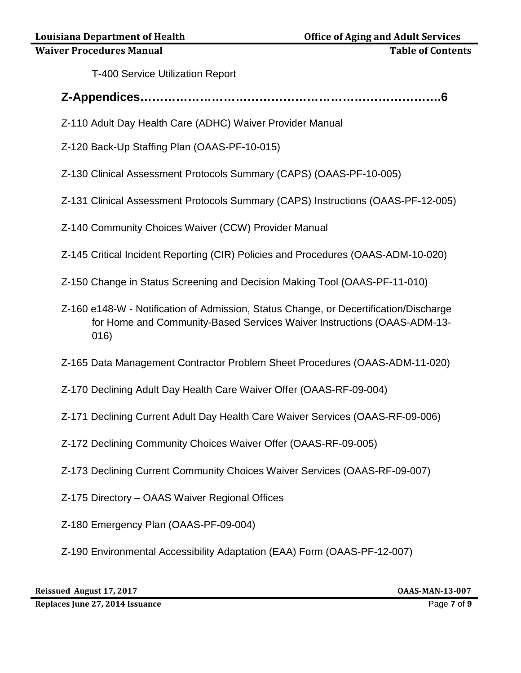T-400 Service Utilization Report

- **Z-Appendices………………………………………………………………….6**
- Z-110 Adult Day Health Care (ADHC) Waiver Provider Manual
- Z-120 Back-Up Staffing Plan (OAAS-PF-10-015)
- Z-130 Clinical Assessment Protocols Summary (CAPS) (OAAS-PF-10-005)
- Z-131 Clinical Assessment Protocols Summary (CAPS) Instructions (OAAS-PF-12-005)
- Z-140 Community Choices Waiver (CCW) Provider Manual
- Z-145 Critical Incident Reporting (CIR) Policies and Procedures (OAAS-ADM-10-020)
- Z-150 Change in Status Screening and Decision Making Tool (OAAS-PF-11-010)
- Z-160 e148-W Notification of Admission, Status Change, or Decertification/Discharge for Home and Community-Based Services Waiver Instructions (OAAS-ADM-13- 016)
- Z-165 Data Management Contractor Problem Sheet Procedures (OAAS-ADM-11-020)
- Z-170 Declining Adult Day Health Care Waiver Offer (OAAS-RF-09-004)
- Z-171 Declining Current Adult Day Health Care Waiver Services (OAAS-RF-09-006)
- Z-172 Declining Community Choices Waiver Offer (OAAS-RF-09-005)
- Z-173 Declining Current Community Choices Waiver Services (OAAS-RF-09-007)
- Z-175 Directory OAAS Waiver Regional Offices
- Z-180 Emergency Plan (OAAS-PF-09-004)
- Z-190 Environmental Accessibility Adaptation (EAA) Form (OAAS-PF-12-007)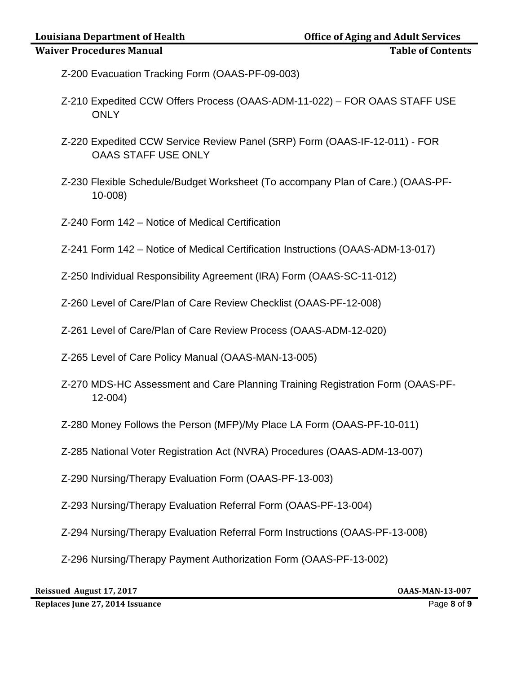- Z-200 Evacuation Tracking Form (OAAS-PF-09-003)
- Z-210 Expedited CCW Offers Process (OAAS-ADM-11-022) FOR OAAS STAFF USE **ONLY**
- Z-220 Expedited CCW Service Review Panel (SRP) Form (OAAS-IF-12-011) FOR OAAS STAFF USE ONLY
- Z-230 Flexible Schedule/Budget Worksheet (To accompany Plan of Care.) (OAAS-PF-10-008)
- Z-240 Form 142 Notice of Medical Certification
- Z-241 Form 142 Notice of Medical Certification Instructions (OAAS-ADM-13-017)
- Z-250 Individual Responsibility Agreement (IRA) Form (OAAS-SC-11-012)
- Z-260 Level of Care/Plan of Care Review Checklist (OAAS-PF-12-008)
- Z-261 Level of Care/Plan of Care Review Process (OAAS-ADM-12-020)
- Z-265 Level of Care Policy Manual (OAAS-MAN-13-005)
- Z-270 MDS-HC Assessment and Care Planning Training Registration Form (OAAS-PF-12-004)
- Z-280 Money Follows the Person (MFP)/My Place LA Form (OAAS-PF-10-011)
- Z-285 National Voter Registration Act (NVRA) Procedures (OAAS-ADM-13-007)
- Z-290 Nursing/Therapy Evaluation Form (OAAS-PF-13-003)
- Z-293 Nursing/Therapy Evaluation Referral Form (OAAS-PF-13-004)
- Z-294 Nursing/Therapy Evaluation Referral Form Instructions (OAAS-PF-13-008)
- Z-296 Nursing/Therapy Payment Authorization Form (OAAS-PF-13-002)